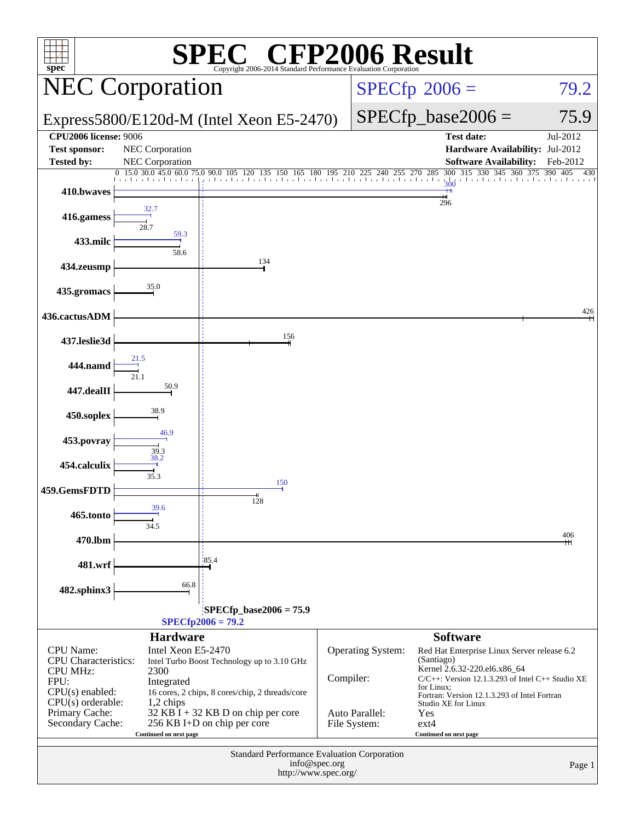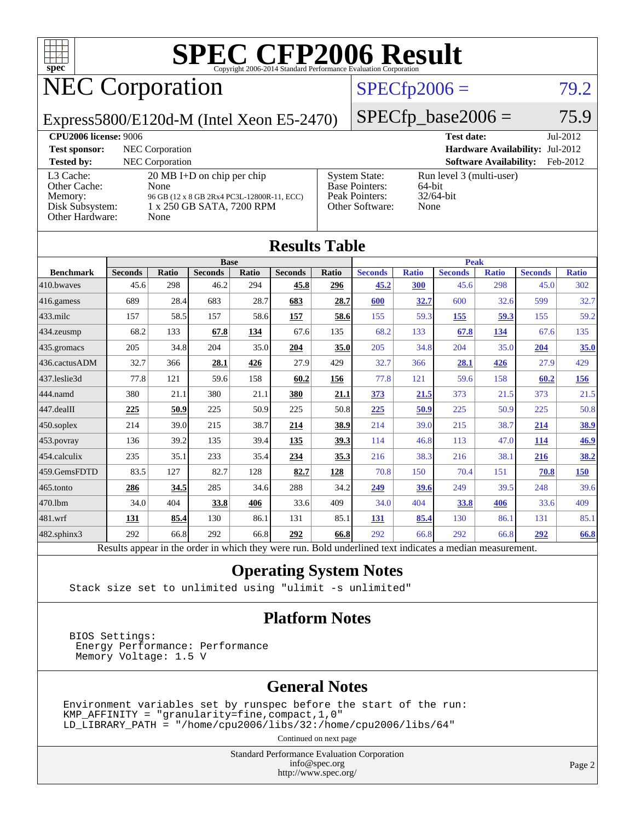

# NEC Corporation

### $SPECfp2006 = 79.2$  $SPECfp2006 = 79.2$

Express5800/E120d-M (Intel Xeon E5-2470)

 $SPECfp\_base2006 = 75.9$ 

| <b>CPU2006 license: 9006</b>                                               |                                                                                                                                 |                                                                                    | <b>Test date:</b>                                          | Jul-2012 |
|----------------------------------------------------------------------------|---------------------------------------------------------------------------------------------------------------------------------|------------------------------------------------------------------------------------|------------------------------------------------------------|----------|
| <b>Test sponsor:</b>                                                       | NEC Corporation                                                                                                                 | Hardware Availability: Jul-2012                                                    |                                                            |          |
| <b>Tested by:</b>                                                          | <b>NEC</b> Corporation                                                                                                          |                                                                                    | <b>Software Availability:</b>                              | Feb-2012 |
| L3 Cache:<br>Other Cache:<br>Memory:<br>Disk Subsystem:<br>Other Hardware: | $20 \text{ MB I+D}$ on chip per chip<br>None<br>96 GB (12 x 8 GB 2Rx4 PC3L-12800R-11, ECC)<br>1 x 250 GB SATA, 7200 RPM<br>None | <b>System State:</b><br><b>Base Pointers:</b><br>Peak Pointers:<br>Other Software: | Run level 3 (multi-user)<br>64-bit<br>$32/64$ -bit<br>None |          |

**[Results Table](http://www.spec.org/auto/cpu2006/Docs/result-fields.html#ResultsTable)**

| Results Table    |                                                                                                          |              |                |       |                |              |                |              |                |              |                |              |
|------------------|----------------------------------------------------------------------------------------------------------|--------------|----------------|-------|----------------|--------------|----------------|--------------|----------------|--------------|----------------|--------------|
|                  | <b>Base</b>                                                                                              |              |                |       |                | <b>Peak</b>  |                |              |                |              |                |              |
| <b>Benchmark</b> | <b>Seconds</b>                                                                                           | <b>Ratio</b> | <b>Seconds</b> | Ratio | <b>Seconds</b> | <b>Ratio</b> | <b>Seconds</b> | <b>Ratio</b> | <b>Seconds</b> | <b>Ratio</b> | <b>Seconds</b> | <b>Ratio</b> |
| 410.bwayes       | 45.6                                                                                                     | 298          | 46.2           | 294   | 45.8           | 296          | 45.2           | 300          | 45.6           | 298          | 45.0           | 302          |
| 416.gamess       | 689                                                                                                      | 28.4         | 683            | 28.7  | 683            | 28.7         | 600            | 32.7         | 600            | 32.6         | 599            | 32.7         |
| $433$ .milc      | 157                                                                                                      | 58.5         | 157            | 58.6  | 157            | 58.6         | 155            | 59.3         | <u>155</u>     | 59.3         | 155            | 59.2         |
| 434.zeusmp       | 68.2                                                                                                     | 133          | 67.8           | 134   | 67.6           | 135          | 68.2           | 133          | 67.8           | 134          | 67.6           | 135          |
| 435 gromacs      | 205                                                                                                      | 34.8         | 204            | 35.0  | 204            | 35.0         | 205            | 34.8         | 204            | 35.0         | 204            | 35.0         |
| 436.cactusADM    | 32.7                                                                                                     | 366          | 28.1           | 426   | 27.9           | 429          | 32.7           | 366          | 28.1           | 426          | 27.9           | 429          |
| 437.leslie3d     | 77.8                                                                                                     | 121          | 59.6           | 158   | 60.2           | 156          | 77.8           | 121          | 59.6           | 158          | 60.2           | 156          |
| 444.namd         | 380                                                                                                      | 21.1         | 380            | 21.1  | 380            | 21.1         | 373            | 21.5         | 373            | 21.5         | 373            | 21.5         |
| 447.dealII       | 225                                                                                                      | 50.9         | 225            | 50.9  | 225            | 50.8         | 225            | 50.9         | 225            | 50.9         | 225            | 50.8         |
| 450.soplex       | 214                                                                                                      | 39.0         | 215            | 38.7  | 214            | 38.9         | 214            | 39.0         | 215            | 38.7         | 214            | 38.9         |
| 453.povray       | 136                                                                                                      | 39.2         | 135            | 39.4  | 135            | 39.3         | 114            | 46.8         | 113            | 47.0         | 114            | 46.9         |
| 454.calculix     | 235                                                                                                      | 35.1         | 233            | 35.4  | 234            | 35.3         | 216            | 38.3         | 216            | 38.1         | 216            | 38.2         |
| 459.GemsFDTD     | 83.5                                                                                                     | 127          | 82.7           | 128   | 82.7           | 128          | 70.8           | 150          | 70.4           | 151          | 70.8           | <u>150</u>   |
| 465.tonto        | 286                                                                                                      | 34.5         | 285            | 34.6  | 288            | 34.2         | 249            | 39.6         | 249            | 39.5         | 248            | 39.6         |
| 470.1bm          | 34.0                                                                                                     | 404          | 33.8           | 406   | 33.6           | 409          | 34.0           | 404          | 33.8           | 406          | 33.6           | 409          |
| 481.wrf          | 131                                                                                                      | 85.4         | 130            | 86.1  | 131            | 85.1         | 131            | 85.4         | 130            | 86.1         | 131            | 85.1         |
| 482.sphinx3      | 292                                                                                                      | 66.8         | 292            | 66.8  | 292            | 66.8         | 292            | 66.8         | 292            | 66.8         | 292            | 66.8         |
|                  | Results appear in the order in which they were run. Bold underlined text indicates a median measurement. |              |                |       |                |              |                |              |                |              |                |              |

### **[Operating System Notes](http://www.spec.org/auto/cpu2006/Docs/result-fields.html#OperatingSystemNotes)**

Stack size set to unlimited using "ulimit -s unlimited"

### **[Platform Notes](http://www.spec.org/auto/cpu2006/Docs/result-fields.html#PlatformNotes)**

 BIOS Settings: Energy Performance: Performance Memory Voltage: 1.5 V

### **[General Notes](http://www.spec.org/auto/cpu2006/Docs/result-fields.html#GeneralNotes)**

Environment variables set by runspec before the start of the run:  $KMP_A$ FFINITY = "granularity=fine, compact, 1, 0" LD\_LIBRARY\_PATH = "/home/cpu2006/libs/32:/home/cpu2006/libs/64"

Continued on next page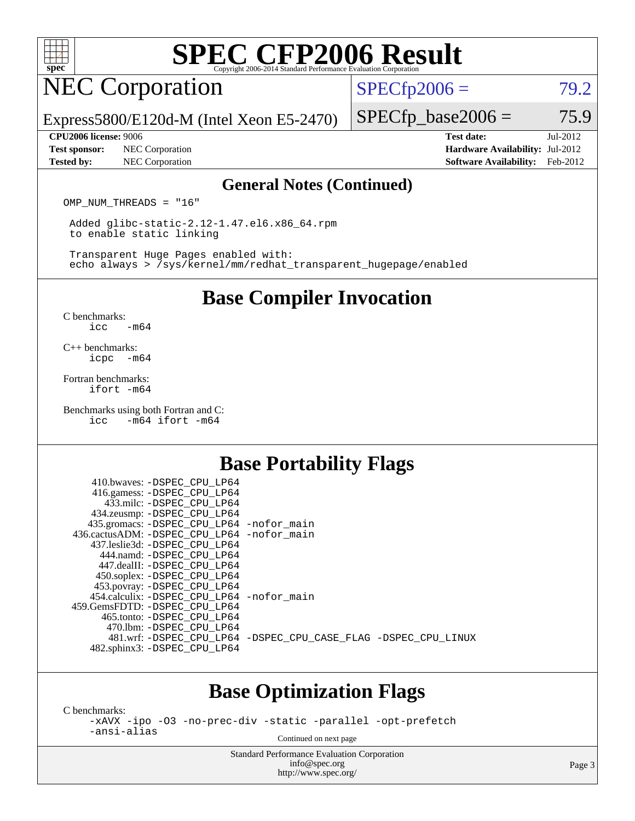

# NEC Corporation

 $SPECTp2006 = 79.2$ 

Express5800/E120d-M (Intel Xeon E5-2470)

**[Test sponsor:](http://www.spec.org/auto/cpu2006/Docs/result-fields.html#Testsponsor)** NEC Corporation **[Hardware Availability:](http://www.spec.org/auto/cpu2006/Docs/result-fields.html#HardwareAvailability)** Jul-2012

 $SPECTp\_base2006 = 75.9$ 

**[Tested by:](http://www.spec.org/auto/cpu2006/Docs/result-fields.html#Testedby)** NEC Corporation **[Software Availability:](http://www.spec.org/auto/cpu2006/Docs/result-fields.html#SoftwareAvailability)** Feb-2012

**[CPU2006 license:](http://www.spec.org/auto/cpu2006/Docs/result-fields.html#CPU2006license)** 9006 **[Test date:](http://www.spec.org/auto/cpu2006/Docs/result-fields.html#Testdate)** Jul-2012

### **[General Notes \(Continued\)](http://www.spec.org/auto/cpu2006/Docs/result-fields.html#GeneralNotes)**

OMP NUM THREADS = "16"

 Added glibc-static-2.12-1.47.el6.x86\_64.rpm to enable static linking

 Transparent Huge Pages enabled with: echo always > /sys/kernel/mm/redhat\_transparent\_hugepage/enabled

## **[Base Compiler Invocation](http://www.spec.org/auto/cpu2006/Docs/result-fields.html#BaseCompilerInvocation)**

[C benchmarks](http://www.spec.org/auto/cpu2006/Docs/result-fields.html#Cbenchmarks): [icc -m64](http://www.spec.org/cpu2006/results/res2012q3/cpu2006-20120802-24016.flags.html#user_CCbase_intel_icc_64bit_0b7121f5ab7cfabee23d88897260401c)

[C++ benchmarks:](http://www.spec.org/auto/cpu2006/Docs/result-fields.html#CXXbenchmarks) [icpc -m64](http://www.spec.org/cpu2006/results/res2012q3/cpu2006-20120802-24016.flags.html#user_CXXbase_intel_icpc_64bit_bedb90c1146cab66620883ef4f41a67e)

[Fortran benchmarks](http://www.spec.org/auto/cpu2006/Docs/result-fields.html#Fortranbenchmarks): [ifort -m64](http://www.spec.org/cpu2006/results/res2012q3/cpu2006-20120802-24016.flags.html#user_FCbase_intel_ifort_64bit_ee9d0fb25645d0210d97eb0527dcc06e)

[Benchmarks using both Fortran and C](http://www.spec.org/auto/cpu2006/Docs/result-fields.html#BenchmarksusingbothFortranandC): [icc -m64](http://www.spec.org/cpu2006/results/res2012q3/cpu2006-20120802-24016.flags.html#user_CC_FCbase_intel_icc_64bit_0b7121f5ab7cfabee23d88897260401c) [ifort -m64](http://www.spec.org/cpu2006/results/res2012q3/cpu2006-20120802-24016.flags.html#user_CC_FCbase_intel_ifort_64bit_ee9d0fb25645d0210d97eb0527dcc06e)

### **[Base Portability Flags](http://www.spec.org/auto/cpu2006/Docs/result-fields.html#BasePortabilityFlags)**

| 410.bwaves: -DSPEC CPU LP64<br>416.gamess: -DSPEC_CPU_LP64<br>433.milc: -DSPEC CPU LP64 |                                                                |
|-----------------------------------------------------------------------------------------|----------------------------------------------------------------|
| 434.zeusmp: -DSPEC_CPU_LP64                                                             |                                                                |
| 435.gromacs: -DSPEC_CPU_LP64 -nofor_main                                                |                                                                |
| 436.cactusADM: - DSPEC CPU LP64 - nofor main                                            |                                                                |
| 437.leslie3d: -DSPEC CPU LP64                                                           |                                                                |
| 444.namd: - DSPEC_CPU LP64                                                              |                                                                |
| 447.dealII: -DSPEC CPU LP64                                                             |                                                                |
| 450.soplex: -DSPEC_CPU_LP64                                                             |                                                                |
| 453.povray: -DSPEC_CPU_LP64                                                             |                                                                |
| 454.calculix: -DSPEC CPU LP64 -nofor main                                               |                                                                |
| 459.GemsFDTD: -DSPEC CPU LP64                                                           |                                                                |
| 465.tonto: - DSPEC_CPU LP64                                                             |                                                                |
| 470.1bm: - DSPEC CPU LP64                                                               |                                                                |
|                                                                                         | 481.wrf: -DSPEC CPU_LP64 -DSPEC_CPU_CASE_FLAG -DSPEC_CPU_LINUX |
| 482.sphinx3: -DSPEC_CPU_LP64                                                            |                                                                |
|                                                                                         |                                                                |

## **[Base Optimization Flags](http://www.spec.org/auto/cpu2006/Docs/result-fields.html#BaseOptimizationFlags)**

[C benchmarks](http://www.spec.org/auto/cpu2006/Docs/result-fields.html#Cbenchmarks):

[-xAVX](http://www.spec.org/cpu2006/results/res2012q3/cpu2006-20120802-24016.flags.html#user_CCbase_f-xAVX) [-ipo](http://www.spec.org/cpu2006/results/res2012q3/cpu2006-20120802-24016.flags.html#user_CCbase_f-ipo) [-O3](http://www.spec.org/cpu2006/results/res2012q3/cpu2006-20120802-24016.flags.html#user_CCbase_f-O3) [-no-prec-div](http://www.spec.org/cpu2006/results/res2012q3/cpu2006-20120802-24016.flags.html#user_CCbase_f-no-prec-div) [-static](http://www.spec.org/cpu2006/results/res2012q3/cpu2006-20120802-24016.flags.html#user_CCbase_f-static) [-parallel](http://www.spec.org/cpu2006/results/res2012q3/cpu2006-20120802-24016.flags.html#user_CCbase_f-parallel) [-opt-prefetch](http://www.spec.org/cpu2006/results/res2012q3/cpu2006-20120802-24016.flags.html#user_CCbase_f-opt-prefetch) [-ansi-alias](http://www.spec.org/cpu2006/results/res2012q3/cpu2006-20120802-24016.flags.html#user_CCbase_f-ansi-alias)

Continued on next page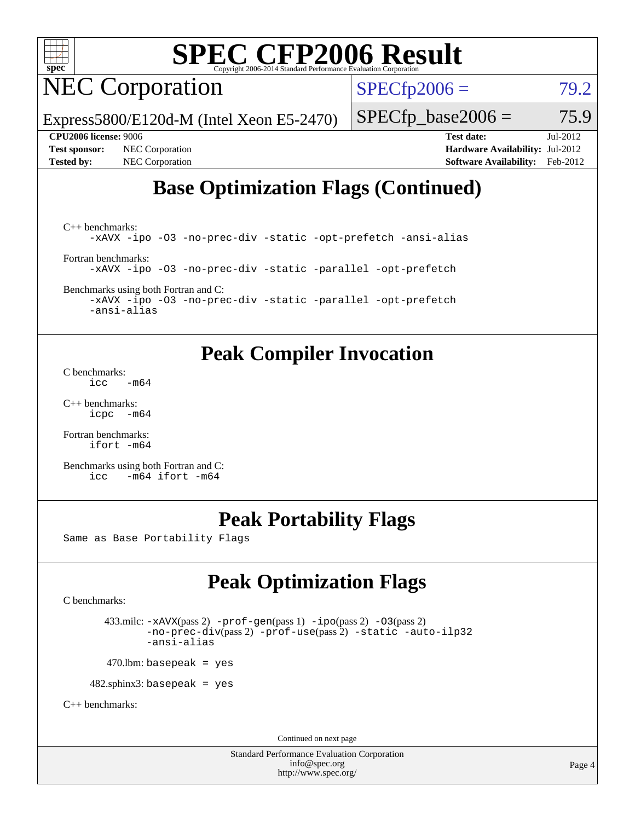

# NEC Corporation

 $SPECTp2006 = 79.2$ 

Express5800/E120d-M (Intel Xeon E5-2470)

 $SPECfp\_base2006 = 75.9$ 

**[Test sponsor:](http://www.spec.org/auto/cpu2006/Docs/result-fields.html#Testsponsor)** NEC Corporation **[Hardware Availability:](http://www.spec.org/auto/cpu2006/Docs/result-fields.html#HardwareAvailability)** Jul-2012

**[CPU2006 license:](http://www.spec.org/auto/cpu2006/Docs/result-fields.html#CPU2006license)** 9006 **[Test date:](http://www.spec.org/auto/cpu2006/Docs/result-fields.html#Testdate)** Jul-2012 **[Tested by:](http://www.spec.org/auto/cpu2006/Docs/result-fields.html#Testedby)** NEC Corporation **[Software Availability:](http://www.spec.org/auto/cpu2006/Docs/result-fields.html#SoftwareAvailability)** Feb-2012

# **[Base Optimization Flags \(Continued\)](http://www.spec.org/auto/cpu2006/Docs/result-fields.html#BaseOptimizationFlags)**

[C++ benchmarks:](http://www.spec.org/auto/cpu2006/Docs/result-fields.html#CXXbenchmarks) [-xAVX](http://www.spec.org/cpu2006/results/res2012q3/cpu2006-20120802-24016.flags.html#user_CXXbase_f-xAVX) [-ipo](http://www.spec.org/cpu2006/results/res2012q3/cpu2006-20120802-24016.flags.html#user_CXXbase_f-ipo) [-O3](http://www.spec.org/cpu2006/results/res2012q3/cpu2006-20120802-24016.flags.html#user_CXXbase_f-O3) [-no-prec-div](http://www.spec.org/cpu2006/results/res2012q3/cpu2006-20120802-24016.flags.html#user_CXXbase_f-no-prec-div) [-static](http://www.spec.org/cpu2006/results/res2012q3/cpu2006-20120802-24016.flags.html#user_CXXbase_f-static) [-opt-prefetch](http://www.spec.org/cpu2006/results/res2012q3/cpu2006-20120802-24016.flags.html#user_CXXbase_f-opt-prefetch) [-ansi-alias](http://www.spec.org/cpu2006/results/res2012q3/cpu2006-20120802-24016.flags.html#user_CXXbase_f-ansi-alias) [Fortran benchmarks](http://www.spec.org/auto/cpu2006/Docs/result-fields.html#Fortranbenchmarks): [-xAVX](http://www.spec.org/cpu2006/results/res2012q3/cpu2006-20120802-24016.flags.html#user_FCbase_f-xAVX) [-ipo](http://www.spec.org/cpu2006/results/res2012q3/cpu2006-20120802-24016.flags.html#user_FCbase_f-ipo) [-O3](http://www.spec.org/cpu2006/results/res2012q3/cpu2006-20120802-24016.flags.html#user_FCbase_f-O3) [-no-prec-div](http://www.spec.org/cpu2006/results/res2012q3/cpu2006-20120802-24016.flags.html#user_FCbase_f-no-prec-div) [-static](http://www.spec.org/cpu2006/results/res2012q3/cpu2006-20120802-24016.flags.html#user_FCbase_f-static) [-parallel](http://www.spec.org/cpu2006/results/res2012q3/cpu2006-20120802-24016.flags.html#user_FCbase_f-parallel) [-opt-prefetch](http://www.spec.org/cpu2006/results/res2012q3/cpu2006-20120802-24016.flags.html#user_FCbase_f-opt-prefetch)

[Benchmarks using both Fortran and C](http://www.spec.org/auto/cpu2006/Docs/result-fields.html#BenchmarksusingbothFortranandC):

[-xAVX](http://www.spec.org/cpu2006/results/res2012q3/cpu2006-20120802-24016.flags.html#user_CC_FCbase_f-xAVX) [-ipo](http://www.spec.org/cpu2006/results/res2012q3/cpu2006-20120802-24016.flags.html#user_CC_FCbase_f-ipo) [-O3](http://www.spec.org/cpu2006/results/res2012q3/cpu2006-20120802-24016.flags.html#user_CC_FCbase_f-O3) [-no-prec-div](http://www.spec.org/cpu2006/results/res2012q3/cpu2006-20120802-24016.flags.html#user_CC_FCbase_f-no-prec-div) [-static](http://www.spec.org/cpu2006/results/res2012q3/cpu2006-20120802-24016.flags.html#user_CC_FCbase_f-static) [-parallel](http://www.spec.org/cpu2006/results/res2012q3/cpu2006-20120802-24016.flags.html#user_CC_FCbase_f-parallel) [-opt-prefetch](http://www.spec.org/cpu2006/results/res2012q3/cpu2006-20120802-24016.flags.html#user_CC_FCbase_f-opt-prefetch) [-ansi-alias](http://www.spec.org/cpu2006/results/res2012q3/cpu2006-20120802-24016.flags.html#user_CC_FCbase_f-ansi-alias)

## **[Peak Compiler Invocation](http://www.spec.org/auto/cpu2006/Docs/result-fields.html#PeakCompilerInvocation)**

[C benchmarks](http://www.spec.org/auto/cpu2006/Docs/result-fields.html#Cbenchmarks):  $\text{icc}$   $-\text{m64}$ 

[C++ benchmarks:](http://www.spec.org/auto/cpu2006/Docs/result-fields.html#CXXbenchmarks) [icpc -m64](http://www.spec.org/cpu2006/results/res2012q3/cpu2006-20120802-24016.flags.html#user_CXXpeak_intel_icpc_64bit_bedb90c1146cab66620883ef4f41a67e)

[Fortran benchmarks](http://www.spec.org/auto/cpu2006/Docs/result-fields.html#Fortranbenchmarks): [ifort -m64](http://www.spec.org/cpu2006/results/res2012q3/cpu2006-20120802-24016.flags.html#user_FCpeak_intel_ifort_64bit_ee9d0fb25645d0210d97eb0527dcc06e)

[Benchmarks using both Fortran and C](http://www.spec.org/auto/cpu2006/Docs/result-fields.html#BenchmarksusingbothFortranandC): [icc -m64](http://www.spec.org/cpu2006/results/res2012q3/cpu2006-20120802-24016.flags.html#user_CC_FCpeak_intel_icc_64bit_0b7121f5ab7cfabee23d88897260401c) [ifort -m64](http://www.spec.org/cpu2006/results/res2012q3/cpu2006-20120802-24016.flags.html#user_CC_FCpeak_intel_ifort_64bit_ee9d0fb25645d0210d97eb0527dcc06e)

## **[Peak Portability Flags](http://www.spec.org/auto/cpu2006/Docs/result-fields.html#PeakPortabilityFlags)**

Same as Base Portability Flags

# **[Peak Optimization Flags](http://www.spec.org/auto/cpu2006/Docs/result-fields.html#PeakOptimizationFlags)**

[C benchmarks](http://www.spec.org/auto/cpu2006/Docs/result-fields.html#Cbenchmarks):

 433.milc: [-xAVX](http://www.spec.org/cpu2006/results/res2012q3/cpu2006-20120802-24016.flags.html#user_peakPASS2_CFLAGSPASS2_LDFLAGS433_milc_f-xAVX)(pass 2) [-prof-gen](http://www.spec.org/cpu2006/results/res2012q3/cpu2006-20120802-24016.flags.html#user_peakPASS1_CFLAGSPASS1_LDFLAGS433_milc_prof_gen_e43856698f6ca7b7e442dfd80e94a8fc)(pass 1) [-ipo](http://www.spec.org/cpu2006/results/res2012q3/cpu2006-20120802-24016.flags.html#user_peakPASS2_CFLAGSPASS2_LDFLAGS433_milc_f-ipo)(pass 2) [-O3](http://www.spec.org/cpu2006/results/res2012q3/cpu2006-20120802-24016.flags.html#user_peakPASS2_CFLAGSPASS2_LDFLAGS433_milc_f-O3)(pass 2) [-no-prec-div](http://www.spec.org/cpu2006/results/res2012q3/cpu2006-20120802-24016.flags.html#user_peakPASS2_CFLAGSPASS2_LDFLAGS433_milc_f-no-prec-div)(pass 2) [-prof-use](http://www.spec.org/cpu2006/results/res2012q3/cpu2006-20120802-24016.flags.html#user_peakPASS2_CFLAGSPASS2_LDFLAGS433_milc_prof_use_bccf7792157ff70d64e32fe3e1250b55)(pass 2) [-static](http://www.spec.org/cpu2006/results/res2012q3/cpu2006-20120802-24016.flags.html#user_peakOPTIMIZE433_milc_f-static) [-auto-ilp32](http://www.spec.org/cpu2006/results/res2012q3/cpu2006-20120802-24016.flags.html#user_peakCOPTIMIZE433_milc_f-auto-ilp32) [-ansi-alias](http://www.spec.org/cpu2006/results/res2012q3/cpu2006-20120802-24016.flags.html#user_peakCOPTIMIZE433_milc_f-ansi-alias)

 $470$ .lbm: basepeak = yes

482.sphinx3: basepeak = yes

[C++ benchmarks:](http://www.spec.org/auto/cpu2006/Docs/result-fields.html#CXXbenchmarks)

Continued on next page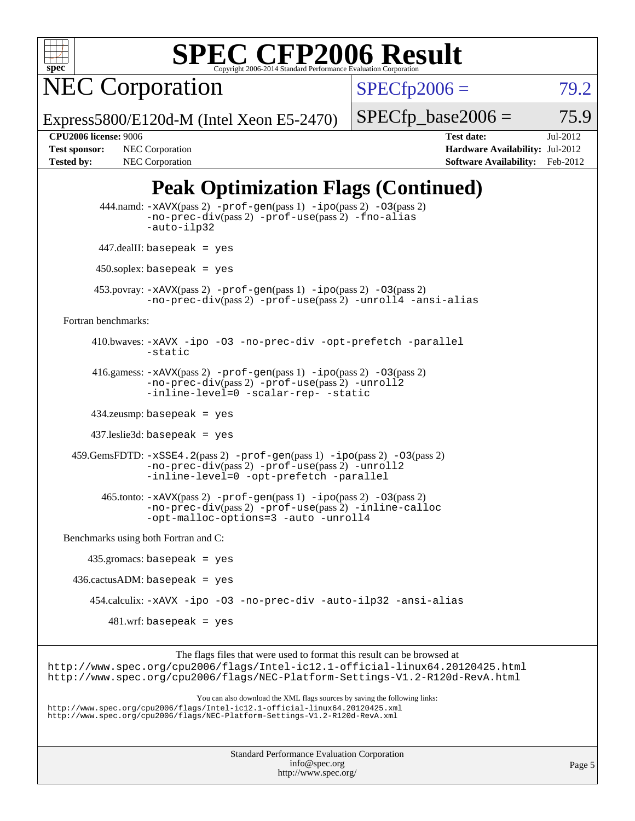

NEC Corporation

 $SPECfp2006 = 79.2$  $SPECfp2006 = 79.2$ 

Express5800/E120d-M (Intel Xeon E5-2470)

 $SPECTp\_base2006 = 75.9$ 

**[Tested by:](http://www.spec.org/auto/cpu2006/Docs/result-fields.html#Testedby)** NEC Corporation **[Software Availability:](http://www.spec.org/auto/cpu2006/Docs/result-fields.html#SoftwareAvailability)** Feb-2012

**[CPU2006 license:](http://www.spec.org/auto/cpu2006/Docs/result-fields.html#CPU2006license)** 9006 **[Test date:](http://www.spec.org/auto/cpu2006/Docs/result-fields.html#Testdate)** Jul-2012 **[Test sponsor:](http://www.spec.org/auto/cpu2006/Docs/result-fields.html#Testsponsor)** NEC Corporation **[Hardware Availability:](http://www.spec.org/auto/cpu2006/Docs/result-fields.html#HardwareAvailability)** Jul-2012

# **[Peak Optimization Flags \(Continued\)](http://www.spec.org/auto/cpu2006/Docs/result-fields.html#PeakOptimizationFlags)**

 444.namd: [-xAVX](http://www.spec.org/cpu2006/results/res2012q3/cpu2006-20120802-24016.flags.html#user_peakPASS2_CXXFLAGSPASS2_LDFLAGS444_namd_f-xAVX)(pass 2) [-prof-gen](http://www.spec.org/cpu2006/results/res2012q3/cpu2006-20120802-24016.flags.html#user_peakPASS1_CXXFLAGSPASS1_LDFLAGS444_namd_prof_gen_e43856698f6ca7b7e442dfd80e94a8fc)(pass 1) [-ipo](http://www.spec.org/cpu2006/results/res2012q3/cpu2006-20120802-24016.flags.html#user_peakPASS2_CXXFLAGSPASS2_LDFLAGS444_namd_f-ipo)(pass 2) [-O3](http://www.spec.org/cpu2006/results/res2012q3/cpu2006-20120802-24016.flags.html#user_peakPASS2_CXXFLAGSPASS2_LDFLAGS444_namd_f-O3)(pass 2) [-no-prec-div](http://www.spec.org/cpu2006/results/res2012q3/cpu2006-20120802-24016.flags.html#user_peakPASS2_CXXFLAGSPASS2_LDFLAGS444_namd_f-no-prec-div)(pass 2) [-prof-use](http://www.spec.org/cpu2006/results/res2012q3/cpu2006-20120802-24016.flags.html#user_peakPASS2_CXXFLAGSPASS2_LDFLAGS444_namd_prof_use_bccf7792157ff70d64e32fe3e1250b55)(pass 2) [-fno-alias](http://www.spec.org/cpu2006/results/res2012q3/cpu2006-20120802-24016.flags.html#user_peakCXXOPTIMIZEOPTIMIZE444_namd_f-no-alias_694e77f6c5a51e658e82ccff53a9e63a) [-auto-ilp32](http://www.spec.org/cpu2006/results/res2012q3/cpu2006-20120802-24016.flags.html#user_peakCXXOPTIMIZE444_namd_f-auto-ilp32) 447.dealII: basepeak = yes 450.soplex: basepeak = yes 453.povray: [-xAVX](http://www.spec.org/cpu2006/results/res2012q3/cpu2006-20120802-24016.flags.html#user_peakPASS2_CXXFLAGSPASS2_LDFLAGS453_povray_f-xAVX)(pass 2) [-prof-gen](http://www.spec.org/cpu2006/results/res2012q3/cpu2006-20120802-24016.flags.html#user_peakPASS1_CXXFLAGSPASS1_LDFLAGS453_povray_prof_gen_e43856698f6ca7b7e442dfd80e94a8fc)(pass 1) [-ipo](http://www.spec.org/cpu2006/results/res2012q3/cpu2006-20120802-24016.flags.html#user_peakPASS2_CXXFLAGSPASS2_LDFLAGS453_povray_f-ipo)(pass 2) [-O3](http://www.spec.org/cpu2006/results/res2012q3/cpu2006-20120802-24016.flags.html#user_peakPASS2_CXXFLAGSPASS2_LDFLAGS453_povray_f-O3)(pass 2) [-no-prec-div](http://www.spec.org/cpu2006/results/res2012q3/cpu2006-20120802-24016.flags.html#user_peakPASS2_CXXFLAGSPASS2_LDFLAGS453_povray_f-no-prec-div)(pass 2) [-prof-use](http://www.spec.org/cpu2006/results/res2012q3/cpu2006-20120802-24016.flags.html#user_peakPASS2_CXXFLAGSPASS2_LDFLAGS453_povray_prof_use_bccf7792157ff70d64e32fe3e1250b55)(pass 2) [-unroll4](http://www.spec.org/cpu2006/results/res2012q3/cpu2006-20120802-24016.flags.html#user_peakCXXOPTIMIZE453_povray_f-unroll_4e5e4ed65b7fd20bdcd365bec371b81f) [-ansi-alias](http://www.spec.org/cpu2006/results/res2012q3/cpu2006-20120802-24016.flags.html#user_peakCXXOPTIMIZE453_povray_f-ansi-alias) [Fortran benchmarks](http://www.spec.org/auto/cpu2006/Docs/result-fields.html#Fortranbenchmarks): 410.bwaves: [-xAVX](http://www.spec.org/cpu2006/results/res2012q3/cpu2006-20120802-24016.flags.html#user_peakOPTIMIZE410_bwaves_f-xAVX) [-ipo](http://www.spec.org/cpu2006/results/res2012q3/cpu2006-20120802-24016.flags.html#user_peakOPTIMIZE410_bwaves_f-ipo) [-O3](http://www.spec.org/cpu2006/results/res2012q3/cpu2006-20120802-24016.flags.html#user_peakOPTIMIZE410_bwaves_f-O3) [-no-prec-div](http://www.spec.org/cpu2006/results/res2012q3/cpu2006-20120802-24016.flags.html#user_peakOPTIMIZE410_bwaves_f-no-prec-div) [-opt-prefetch](http://www.spec.org/cpu2006/results/res2012q3/cpu2006-20120802-24016.flags.html#user_peakOPTIMIZE410_bwaves_f-opt-prefetch) [-parallel](http://www.spec.org/cpu2006/results/res2012q3/cpu2006-20120802-24016.flags.html#user_peakOPTIMIZE410_bwaves_f-parallel) [-static](http://www.spec.org/cpu2006/results/res2012q3/cpu2006-20120802-24016.flags.html#user_peakOPTIMIZE410_bwaves_f-static) 416.gamess: [-xAVX](http://www.spec.org/cpu2006/results/res2012q3/cpu2006-20120802-24016.flags.html#user_peakPASS2_FFLAGSPASS2_LDFLAGS416_gamess_f-xAVX)(pass 2) [-prof-gen](http://www.spec.org/cpu2006/results/res2012q3/cpu2006-20120802-24016.flags.html#user_peakPASS1_FFLAGSPASS1_LDFLAGS416_gamess_prof_gen_e43856698f6ca7b7e442dfd80e94a8fc)(pass 1) [-ipo](http://www.spec.org/cpu2006/results/res2012q3/cpu2006-20120802-24016.flags.html#user_peakPASS2_FFLAGSPASS2_LDFLAGS416_gamess_f-ipo)(pass 2) [-O3](http://www.spec.org/cpu2006/results/res2012q3/cpu2006-20120802-24016.flags.html#user_peakPASS2_FFLAGSPASS2_LDFLAGS416_gamess_f-O3)(pass 2) [-no-prec-div](http://www.spec.org/cpu2006/results/res2012q3/cpu2006-20120802-24016.flags.html#user_peakPASS2_FFLAGSPASS2_LDFLAGS416_gamess_f-no-prec-div)(pass 2) [-prof-use](http://www.spec.org/cpu2006/results/res2012q3/cpu2006-20120802-24016.flags.html#user_peakPASS2_FFLAGSPASS2_LDFLAGS416_gamess_prof_use_bccf7792157ff70d64e32fe3e1250b55)(pass 2) [-unroll2](http://www.spec.org/cpu2006/results/res2012q3/cpu2006-20120802-24016.flags.html#user_peakOPTIMIZE416_gamess_f-unroll_784dae83bebfb236979b41d2422d7ec2) [-inline-level=0](http://www.spec.org/cpu2006/results/res2012q3/cpu2006-20120802-24016.flags.html#user_peakOPTIMIZE416_gamess_f-inline-level_318d07a09274ad25e8d15dbfaa68ba50) [-scalar-rep-](http://www.spec.org/cpu2006/results/res2012q3/cpu2006-20120802-24016.flags.html#user_peakOPTIMIZE416_gamess_f-disablescalarrep_abbcad04450fb118e4809c81d83c8a1d) [-static](http://www.spec.org/cpu2006/results/res2012q3/cpu2006-20120802-24016.flags.html#user_peakOPTIMIZE416_gamess_f-static) 434.zeusmp: basepeak = yes 437.leslie3d: basepeak = yes  $459.GemsFDTD: -xSSE4.2(pass 2) -prof-gen(pass 1) -ipo(pass 2) -O3(pass 2)$  $459.GemsFDTD: -xSSE4.2(pass 2) -prof-gen(pass 1) -ipo(pass 2) -O3(pass 2)$  $459.GemsFDTD: -xSSE4.2(pass 2) -prof-gen(pass 1) -ipo(pass 2) -O3(pass 2)$  $459.GemsFDTD: -xSSE4.2(pass 2) -prof-gen(pass 1) -ipo(pass 2) -O3(pass 2)$  $459.GemsFDTD: -xSSE4.2(pass 2) -prof-gen(pass 1) -ipo(pass 2) -O3(pass 2)$  $459.GemsFDTD: -xSSE4.2(pass 2) -prof-gen(pass 1) -ipo(pass 2) -O3(pass 2)$  $459.GemsFDTD: -xSSE4.2(pass 2) -prof-gen(pass 1) -ipo(pass 2) -O3(pass 2)$  $459.GemsFDTD: -xSSE4.2(pass 2) -prof-gen(pass 1) -ipo(pass 2) -O3(pass 2)$  $459.GemsFDTD: -xSSE4.2(pass 2) -prof-gen(pass 1) -ipo(pass 2) -O3(pass 2)$ [-no-prec-div](http://www.spec.org/cpu2006/results/res2012q3/cpu2006-20120802-24016.flags.html#user_peakPASS2_FFLAGSPASS2_LDFLAGS459_GemsFDTD_f-no-prec-div)(pass 2) [-prof-use](http://www.spec.org/cpu2006/results/res2012q3/cpu2006-20120802-24016.flags.html#user_peakPASS2_FFLAGSPASS2_LDFLAGS459_GemsFDTD_prof_use_bccf7792157ff70d64e32fe3e1250b55)(pass 2) [-unroll2](http://www.spec.org/cpu2006/results/res2012q3/cpu2006-20120802-24016.flags.html#user_peakOPTIMIZE459_GemsFDTD_f-unroll_784dae83bebfb236979b41d2422d7ec2) [-inline-level=0](http://www.spec.org/cpu2006/results/res2012q3/cpu2006-20120802-24016.flags.html#user_peakOPTIMIZE459_GemsFDTD_f-inline-level_318d07a09274ad25e8d15dbfaa68ba50) [-opt-prefetch](http://www.spec.org/cpu2006/results/res2012q3/cpu2006-20120802-24016.flags.html#user_peakOPTIMIZE459_GemsFDTD_f-opt-prefetch) [-parallel](http://www.spec.org/cpu2006/results/res2012q3/cpu2006-20120802-24016.flags.html#user_peakOPTIMIZE459_GemsFDTD_f-parallel) 465.tonto: [-xAVX](http://www.spec.org/cpu2006/results/res2012q3/cpu2006-20120802-24016.flags.html#user_peakPASS2_FFLAGSPASS2_LDFLAGS465_tonto_f-xAVX)(pass 2) [-prof-gen](http://www.spec.org/cpu2006/results/res2012q3/cpu2006-20120802-24016.flags.html#user_peakPASS1_FFLAGSPASS1_LDFLAGS465_tonto_prof_gen_e43856698f6ca7b7e442dfd80e94a8fc)(pass 1) [-ipo](http://www.spec.org/cpu2006/results/res2012q3/cpu2006-20120802-24016.flags.html#user_peakPASS2_FFLAGSPASS2_LDFLAGS465_tonto_f-ipo)(pass 2) [-O3](http://www.spec.org/cpu2006/results/res2012q3/cpu2006-20120802-24016.flags.html#user_peakPASS2_FFLAGSPASS2_LDFLAGS465_tonto_f-O3)(pass 2) [-no-prec-div](http://www.spec.org/cpu2006/results/res2012q3/cpu2006-20120802-24016.flags.html#user_peakPASS2_FFLAGSPASS2_LDFLAGS465_tonto_f-no-prec-div)(pass 2) [-prof-use](http://www.spec.org/cpu2006/results/res2012q3/cpu2006-20120802-24016.flags.html#user_peakPASS2_FFLAGSPASS2_LDFLAGS465_tonto_prof_use_bccf7792157ff70d64e32fe3e1250b55)(pass 2) [-inline-calloc](http://www.spec.org/cpu2006/results/res2012q3/cpu2006-20120802-24016.flags.html#user_peakOPTIMIZE465_tonto_f-inline-calloc) [-opt-malloc-options=3](http://www.spec.org/cpu2006/results/res2012q3/cpu2006-20120802-24016.flags.html#user_peakOPTIMIZE465_tonto_f-opt-malloc-options_13ab9b803cf986b4ee62f0a5998c2238) [-auto](http://www.spec.org/cpu2006/results/res2012q3/cpu2006-20120802-24016.flags.html#user_peakOPTIMIZE465_tonto_f-auto) [-unroll4](http://www.spec.org/cpu2006/results/res2012q3/cpu2006-20120802-24016.flags.html#user_peakOPTIMIZE465_tonto_f-unroll_4e5e4ed65b7fd20bdcd365bec371b81f) [Benchmarks using both Fortran and C](http://www.spec.org/auto/cpu2006/Docs/result-fields.html#BenchmarksusingbothFortranandC): 435.gromacs: basepeak = yes  $436.cactusADM:basepeak = yes$  454.calculix: [-xAVX](http://www.spec.org/cpu2006/results/res2012q3/cpu2006-20120802-24016.flags.html#user_peakOPTIMIZE454_calculix_f-xAVX) [-ipo](http://www.spec.org/cpu2006/results/res2012q3/cpu2006-20120802-24016.flags.html#user_peakOPTIMIZE454_calculix_f-ipo) [-O3](http://www.spec.org/cpu2006/results/res2012q3/cpu2006-20120802-24016.flags.html#user_peakOPTIMIZE454_calculix_f-O3) [-no-prec-div](http://www.spec.org/cpu2006/results/res2012q3/cpu2006-20120802-24016.flags.html#user_peakOPTIMIZE454_calculix_f-no-prec-div) [-auto-ilp32](http://www.spec.org/cpu2006/results/res2012q3/cpu2006-20120802-24016.flags.html#user_peakCOPTIMIZE454_calculix_f-auto-ilp32) [-ansi-alias](http://www.spec.org/cpu2006/results/res2012q3/cpu2006-20120802-24016.flags.html#user_peakCOPTIMIZE454_calculix_f-ansi-alias) 481.wrf: basepeak = yes The flags files that were used to format this result can be browsed at <http://www.spec.org/cpu2006/flags/Intel-ic12.1-official-linux64.20120425.html> <http://www.spec.org/cpu2006/flags/NEC-Platform-Settings-V1.2-R120d-RevA.html>

You can also download the XML flags sources by saving the following links: <http://www.spec.org/cpu2006/flags/Intel-ic12.1-official-linux64.20120425.xml> <http://www.spec.org/cpu2006/flags/NEC-Platform-Settings-V1.2-R120d-RevA.xml>